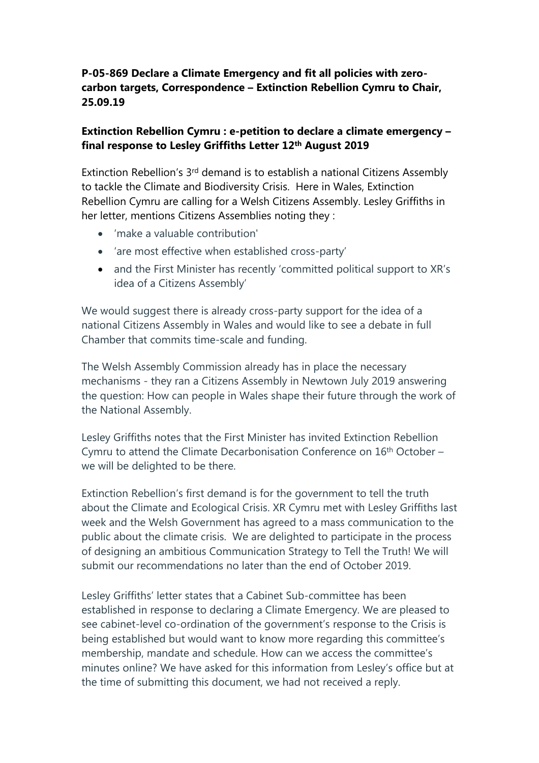## **P-05-869 Declare a Climate Emergency and fit all policies with zerocarbon targets, Correspondence – Extinction Rebellion Cymru to Chair, 25.09.19**

## **Extinction Rebellion Cymru : e-petition to declare a climate emergency – final response to Lesley Griffiths Letter 12th August 2019**

Extinction Rebellion's 3<sup>rd</sup> demand is to establish a national Citizens Assembly to tackle the Climate and Biodiversity Crisis. Here in Wales, Extinction Rebellion Cymru are calling for a Welsh Citizens Assembly. Lesley Griffiths in her letter, mentions Citizens Assemblies noting they :

- 'make a valuable contribution'
- 'are most effective when established cross-party'
- and the First Minister has recently 'committed political support to XR's idea of a Citizens Assembly'

We would suggest there is already cross-party support for the idea of a national Citizens Assembly in Wales and would like to see a debate in full Chamber that commits time-scale and funding.

The Welsh Assembly Commission already has in place the necessary mechanisms - they ran a Citizens Assembly in Newtown July 2019 answering the question: How can people in Wales shape their future through the work of the National Assembly.

Lesley Griffiths notes that the First Minister has invited Extinction Rebellion Cymru to attend the Climate Decarbonisation Conference on 16th October – we will be delighted to be there.

Extinction Rebellion's first demand is for the government to tell the truth about the Climate and Ecological Crisis. XR Cymru met with Lesley Griffiths last week and the Welsh Government has agreed to a mass communication to the public about the climate crisis. We are delighted to participate in the process of designing an ambitious Communication Strategy to Tell the Truth! We will submit our recommendations no later than the end of October 2019.

Lesley Griffiths' letter states that a Cabinet Sub-committee has been established in response to declaring a Climate Emergency. We are pleased to see cabinet-level co-ordination of the government's response to the Crisis is being established but would want to know more regarding this committee's membership, mandate and schedule. How can we access the committee's minutes online? We have asked for this information from Lesley's office but at the time of submitting this document, we had not received a reply.